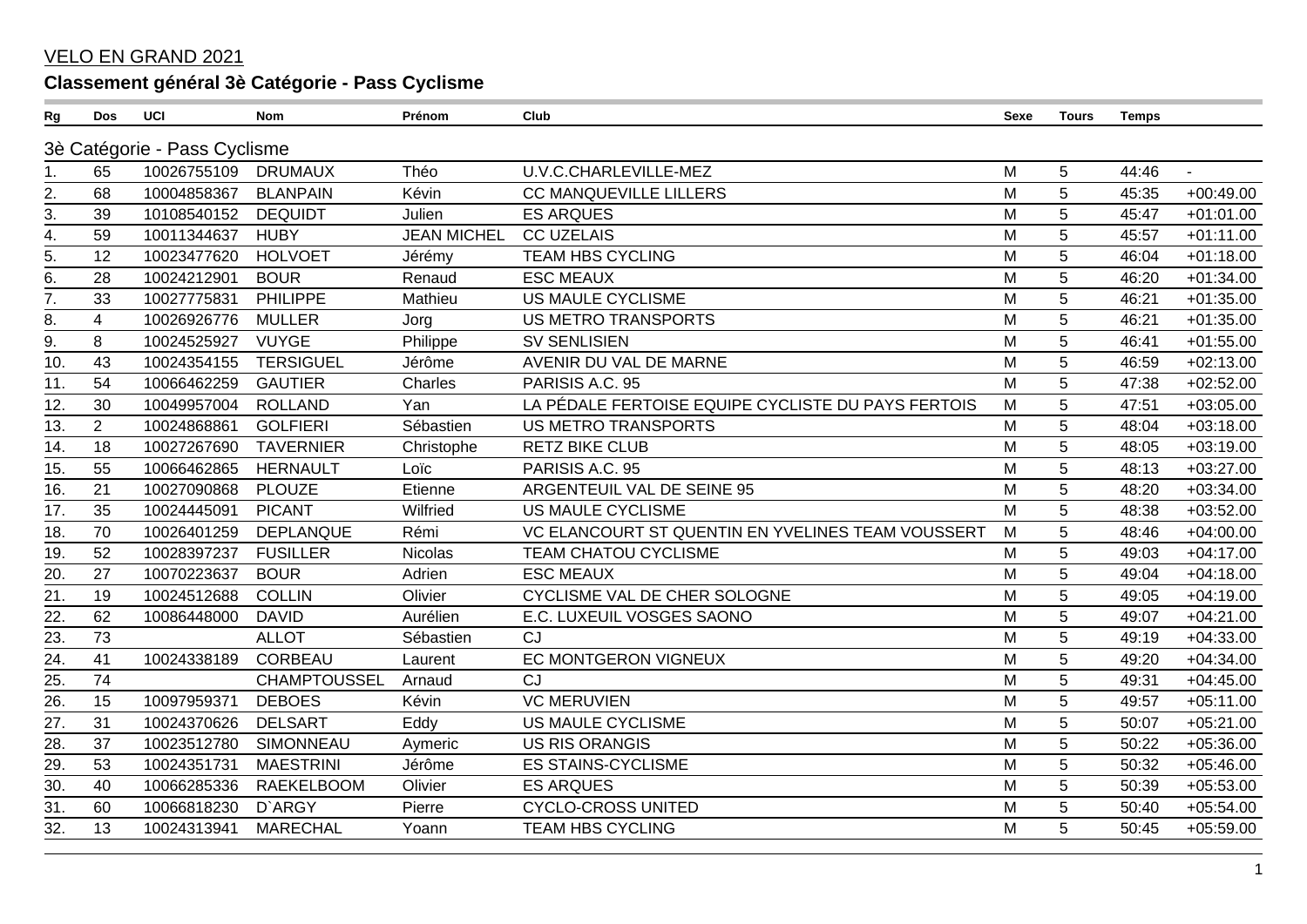## VELO EN GRAND 2021

## **Classement général 3è Catégorie - Pass Cyclisme**

| Rg                | Dos                          | UCI         | <b>Nom</b>          | Prénom             | Club                                               | Sexe | <b>Tours</b>   | <b>Temps</b> |                |  |
|-------------------|------------------------------|-------------|---------------------|--------------------|----------------------------------------------------|------|----------------|--------------|----------------|--|
|                   | 3è Catégorie - Pass Cyclisme |             |                     |                    |                                                    |      |                |              |                |  |
| 1.                | 65                           | 10026755109 | <b>DRUMAUX</b>      | Théo               | U.V.C.CHARLEVILLE-MEZ                              | M    | 5              | 44:46        | $\blacksquare$ |  |
| 2.                | 68                           | 10004858367 | <b>BLANPAIN</b>     | Kévin              | <b>CC MANQUEVILLE LILLERS</b>                      | M    | 5              | 45:35        | $+00:49.00$    |  |
| 3.                | 39                           | 10108540152 | <b>DEQUIDT</b>      | Julien             | <b>ES ARQUES</b>                                   | M    | 5              | 45:47        | $+01:01.00$    |  |
| 4.                | 59                           | 10011344637 | <b>HUBY</b>         | <b>JEAN MICHEL</b> | <b>CC UZELAIS</b>                                  | M    | 5              | 45:57        | $+01:11.00$    |  |
| 5.                | 12                           | 10023477620 | <b>HOLVOET</b>      | Jérémy             | <b>TEAM HBS CYCLING</b>                            | M    | 5              | 46:04        | $+01:18.00$    |  |
| 6.                | 28                           | 10024212901 | <b>BOUR</b>         | Renaud             | <b>ESC MEAUX</b>                                   | M    | 5              | 46:20        | $+01:34.00$    |  |
| $\overline{7}$ .  | 33                           | 10027775831 | PHILIPPE            | Mathieu            | <b>US MAULE CYCLISME</b>                           | M    | 5              | 46:21        | $+01:35.00$    |  |
| 8.                | $\overline{4}$               | 10026926776 | <b>MULLER</b>       | Jorg               | <b>US METRO TRANSPORTS</b>                         | M    | 5              | 46:21        | $+01:35.00$    |  |
| $\overline{9}$ .  | 8                            | 10024525927 | <b>VUYGE</b>        | Philippe           | <b>SV SENLISIEN</b>                                | M    | 5              | 46:41        | $+01:55.00$    |  |
| 10.               | 43                           | 10024354155 | <b>TERSIGUEL</b>    | Jérôme             | AVENIR DU VAL DE MARNE                             | M    | 5              | 46:59        | $+02:13.00$    |  |
| $\overline{11}$ . | 54                           | 10066462259 | <b>GAUTIER</b>      | Charles            | PARISIS A.C. 95                                    | M    | $\overline{5}$ | 47:38        | $+02:52.00$    |  |
| 12.               | 30                           | 10049957004 | <b>ROLLAND</b>      | Yan                | LA PÉDALE FERTOISE EQUIPE CYCLISTE DU PAYS FERTOIS | M    | 5              | 47:51        | $+03:05.00$    |  |
| 13.               | $\overline{2}$               | 10024868861 | <b>GOLFIERI</b>     | Sébastien          | <b>US METRO TRANSPORTS</b>                         | M    | 5              | 48:04        | $+03:18.00$    |  |
| 14.               | 18                           | 10027267690 | <b>TAVERNIER</b>    | Christophe         | <b>RETZ BIKE CLUB</b>                              | M    | 5              | 48:05        | $+03:19.00$    |  |
| 15.               | 55                           | 10066462865 | <b>HERNAULT</b>     | Loïc               | PARISIS A.C. 95                                    | M    | 5              | 48:13        | $+03:27.00$    |  |
| 16.               | 21                           | 10027090868 | <b>PLOUZE</b>       | Etienne            | ARGENTEUIL VAL DE SEINE 95                         | M    | 5              | 48:20        | $+03:34.00$    |  |
| 17.               | 35                           | 10024445091 | <b>PICANT</b>       | Wilfried           | <b>US MAULE CYCLISME</b>                           | M    | 5              | 48:38        | $+03:52.00$    |  |
| 18.               | 70                           | 10026401259 | <b>DEPLANQUE</b>    | Rémi               | VC ELANCOURT ST QUENTIN EN YVELINES TEAM VOUSSERT  | M    | 5              | 48:46        | $+04:00.00$    |  |
| 19.               | 52                           | 10028397237 | <b>FUSILLER</b>     | <b>Nicolas</b>     | <b>TEAM CHATOU CYCLISME</b>                        | M    | 5              | 49:03        | $+04:17.00$    |  |
| 20.               | 27                           | 10070223637 | <b>BOUR</b>         | Adrien             | <b>ESC MEAUX</b>                                   | M    | 5              | 49:04        | $+04:18.00$    |  |
| $\overline{21}$ . | 19                           | 10024512688 | <b>COLLIN</b>       | Olivier            | CYCLISME VAL DE CHER SOLOGNE                       | M    | 5              | 49:05        | $+04:19.00$    |  |
| 22.               | 62                           | 10086448000 | <b>DAVID</b>        | Aurélien           | E.C. LUXEUIL VOSGES SAONO                          | M    | 5              | 49:07        | $+04:21.00$    |  |
| 23.               | 73                           |             | <b>ALLOT</b>        | Sébastien          | CJ                                                 | M    | 5              | 49:19        | $+04:33.00$    |  |
| 24.               | 41                           | 10024338189 | CORBEAU             | Laurent            | EC MONTGERON VIGNEUX                               | M    | 5              | 49:20        | $+04:34.00$    |  |
| 25.               | 74                           |             | <b>CHAMPTOUSSEL</b> | Arnaud             | CJ                                                 | M    | 5              | 49:31        | $+04:45.00$    |  |
| 26.               | 15                           | 10097959371 | <b>DEBOES</b>       | Kévin              | <b>VC MERUVIEN</b>                                 | M    | 5              | 49:57        | $+05:11.00$    |  |
| 27.               | 31                           | 10024370626 | <b>DELSART</b>      | Eddy               | US MAULE CYCLISME                                  | M    | 5              | 50:07        | $+05:21.00$    |  |
| $\overline{28}$   | 37                           | 10023512780 | <b>SIMONNEAU</b>    | Aymeric            | <b>US RIS ORANGIS</b>                              | M    | 5              | 50:22        | $+05:36.00$    |  |
| 29.               | 53                           | 10024351731 | <b>MAESTRINI</b>    | Jérôme             | <b>ES STAINS-CYCLISME</b>                          | M    | 5              | 50:32        | $+05:46.00$    |  |
| 30.               | 40                           | 10066285336 | <b>RAEKELBOOM</b>   | Olivier            | <b>ES ARQUES</b>                                   | M    | 5              | 50:39        | $+05:53.00$    |  |
| 31.               | 60                           | 10066818230 | D'ARGY              | Pierre             | <b>CYCLO-CROSS UNITED</b>                          | M    | 5              | 50:40        | $+05:54.00$    |  |
| 32.               | 13                           | 10024313941 | <b>MARECHAL</b>     | Yoann              | <b>TEAM HBS CYCLING</b>                            | M    | 5              | 50:45        | $+05:59.00$    |  |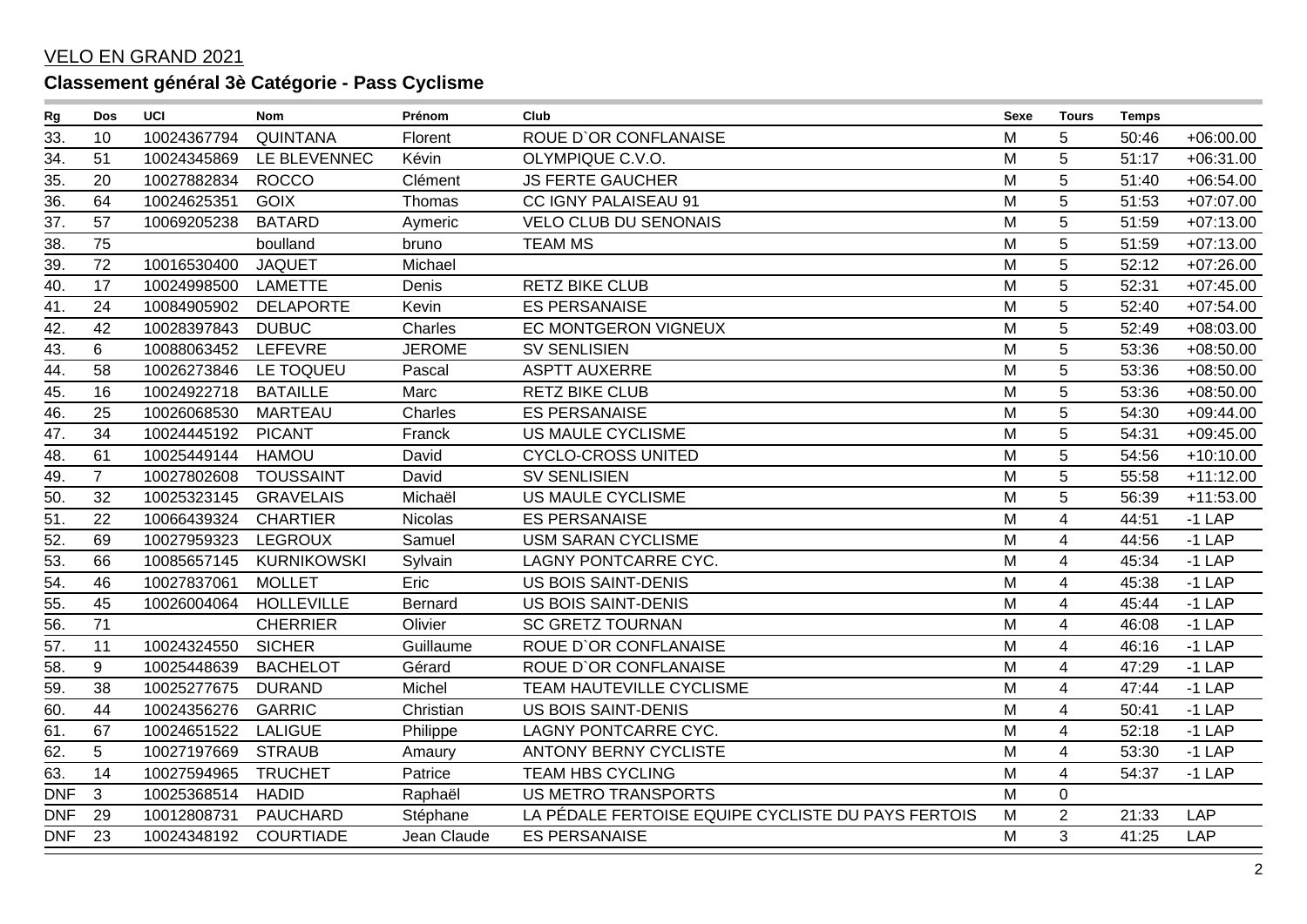## VELO EN GRAND 2021

## **Classement général 3è Catégorie - Pass Cyclisme**

| Rg                | <b>Dos</b>     | <b>UCI</b>  | <b>Nom</b>         | Prénom        | Club                                               | Sexe | Tours                   | <b>Temps</b> |             |
|-------------------|----------------|-------------|--------------------|---------------|----------------------------------------------------|------|-------------------------|--------------|-------------|
| 33.               | 10             | 10024367794 | <b>QUINTANA</b>    | Florent       | ROUE D'OR CONFLANAISE                              | M    | 5                       | 50:46        | $+06:00.00$ |
| 34.               | 51             | 10024345869 | LE BLEVENNEC       | Kévin         | OLYMPIQUE C.V.O.                                   | M    | 5                       | 51:17        | $+06:31.00$ |
| 35.               | 20             | 10027882834 | <b>ROCCO</b>       | Clément       | <b>JS FERTE GAUCHER</b>                            | M    | 5                       | 51:40        | $+06:54.00$ |
| $\overline{36}$   | 64             | 10024625351 | <b>GOIX</b>        | Thomas        | CC IGNY PALAISEAU 91                               | M    | 5                       | 51:53        | $+07:07.00$ |
| 37.               | 57             | 10069205238 | <b>BATARD</b>      | Aymeric       | <b>VELO CLUB DU SENONAIS</b>                       | M    | 5                       | 51:59        | $+07:13.00$ |
| 38.               | 75             |             | boulland           | bruno         | <b>TEAM MS</b>                                     | M    | 5                       | 51:59        | $+07:13.00$ |
| 39.               | 72             | 10016530400 | <b>JAQUET</b>      | Michael       |                                                    | M    | 5                       | 52:12        | $+07:26.00$ |
| $\overline{40}$ . | 17             | 10024998500 | <b>LAMETTE</b>     | Denis         | <b>RETZ BIKE CLUB</b>                              | M    | 5                       | 52:31        | $+07:45.00$ |
| 41.               | 24             | 10084905902 | <b>DELAPORTE</b>   | Kevin         | <b>ES PERSANAISE</b>                               | M    | 5                       | 52:40        | $+07:54.00$ |
| 42.               | 42             | 10028397843 | <b>DUBUC</b>       | Charles       | EC MONTGERON VIGNEUX                               | M    | 5                       | 52:49        | $+08:03.00$ |
| 43.               | 6              | 10088063452 | LEFEVRE            | <b>JEROME</b> | <b>SV SENLISIEN</b>                                | M    | 5                       | 53:36        | $+08:50.00$ |
| 44.               | 58             | 10026273846 | LE TOQUEU          | Pascal        | <b>ASPTT AUXERRE</b>                               | M    | $\overline{5}$          | 53:36        | $+08:50.00$ |
| 45.               | 16             | 10024922718 | <b>BATAILLE</b>    | Marc          | <b>RETZ BIKE CLUB</b>                              | M    | 5                       | 53:36        | $+08:50.00$ |
| 46.               | 25             | 10026068530 | MARTEAU            | Charles       | <b>ES PERSANAISE</b>                               | M    | 5                       | 54:30        | $+09:44.00$ |
| 47.               | 34             | 10024445192 | <b>PICANT</b>      | Franck        | <b>US MAULE CYCLISME</b>                           | M    | 5                       | 54:31        | $+09:45.00$ |
| $\overline{48}$ . | 61             | 10025449144 | <b>HAMOU</b>       | David         | <b>CYCLO-CROSS UNITED</b>                          | M    | 5                       | 54:56        | $+10:10.00$ |
| 49.               | $\overline{7}$ | 10027802608 | <b>TOUSSAINT</b>   | David         | <b>SV SENLISIEN</b>                                | M    | 5                       | 55:58        | $+11:12.00$ |
| 50.               | 32             | 10025323145 | <b>GRAVELAIS</b>   | Michaël       | US MAULE CYCLISME                                  | M    | 5                       | 56:39        | $+11:53.00$ |
| 51.               | 22             | 10066439324 | <b>CHARTIER</b>    | Nicolas       | <b>ES PERSANAISE</b>                               | M    | $\overline{4}$          | 44:51        | $-1$ LAP    |
| $\overline{52}$   | 69             | 10027959323 | <b>LEGROUX</b>     | Samuel        | <b>USM SARAN CYCLISME</b>                          | M    | 4                       | 44:56        | $-1$ LAP    |
| 53.               | 66             | 10085657145 | <b>KURNIKOWSKI</b> | Sylvain       | LAGNY PONTCARRE CYC.                               | M    | 4                       | 45:34        | $-1$ LAP    |
| 54.               | 46             | 10027837061 | <b>MOLLET</b>      | Eric          | <b>US BOIS SAINT-DENIS</b>                         | M    | 4                       | 45:38        | $-1$ LAP    |
| 55.               | 45             | 10026004064 | <b>HOLLEVILLE</b>  | Bernard       | <b>US BOIS SAINT-DENIS</b>                         | M    | 4                       | 45:44        | $-1$ LAP    |
| $\overline{56}$ . | 71             |             | <b>CHERRIER</b>    | Olivier       | <b>SC GRETZ TOURNAN</b>                            | M    | $\overline{4}$          | 46:08        | $-1$ LAP    |
| 57.               | 11             | 10024324550 | <b>SICHER</b>      | Guillaume     | <b>ROUE D'OR CONFLANAISE</b>                       | M    | $\overline{\mathbf{4}}$ | 46:16        | $-1$ LAP    |
| 58.               | 9              | 10025448639 | <b>BACHELOT</b>    | Gérard        | ROUE D'OR CONFLANAISE                              | M    | 4                       | 47:29        | $-1$ LAP    |
| 59.               | 38             | 10025277675 | <b>DURAND</b>      | Michel        | TEAM HAUTEVILLE CYCLISME                           | M    | $\overline{4}$          | 47:44        | $-1$ LAP    |
| 60.               | 44             | 10024356276 | <b>GARRIC</b>      | Christian     | <b>US BOIS SAINT-DENIS</b>                         | M    | 4                       | 50:41        | $-1$ LAP    |
| 61.               | 67             | 10024651522 | <b>LALIGUE</b>     | Philippe      | LAGNY PONTCARRE CYC.                               | M    | 4                       | 52:18        | $-1$ LAP    |
| 62.               | 5              | 10027197669 | <b>STRAUB</b>      | Amaury        | <b>ANTONY BERNY CYCLISTE</b>                       | M    | 4                       | 53:30        | $-1$ LAP    |
| 63.               | 14             | 10027594965 | <b>TRUCHET</b>     | Patrice       | <b>TEAM HBS CYCLING</b>                            | M    | 4                       | 54:37        | $-1$ LAP    |
| <b>DNF</b>        | 3              | 10025368514 | <b>HADID</b>       | Raphaël       | <b>US METRO TRANSPORTS</b>                         | M    | $\mathbf 0$             |              |             |
| <b>DNF</b>        | 29             | 10012808731 | PAUCHARD           | Stéphane      | LA PÉDALE FERTOISE EQUIPE CYCLISTE DU PAYS FERTOIS | M    | $\overline{2}$          | 21:33        | <b>LAP</b>  |
| <b>DNF</b>        | 23             | 10024348192 | <b>COURTIADE</b>   | Jean Claude   | <b>ES PERSANAISE</b>                               | M    | 3                       | 41:25        | <b>LAP</b>  |
|                   |                |             |                    |               |                                                    |      |                         |              |             |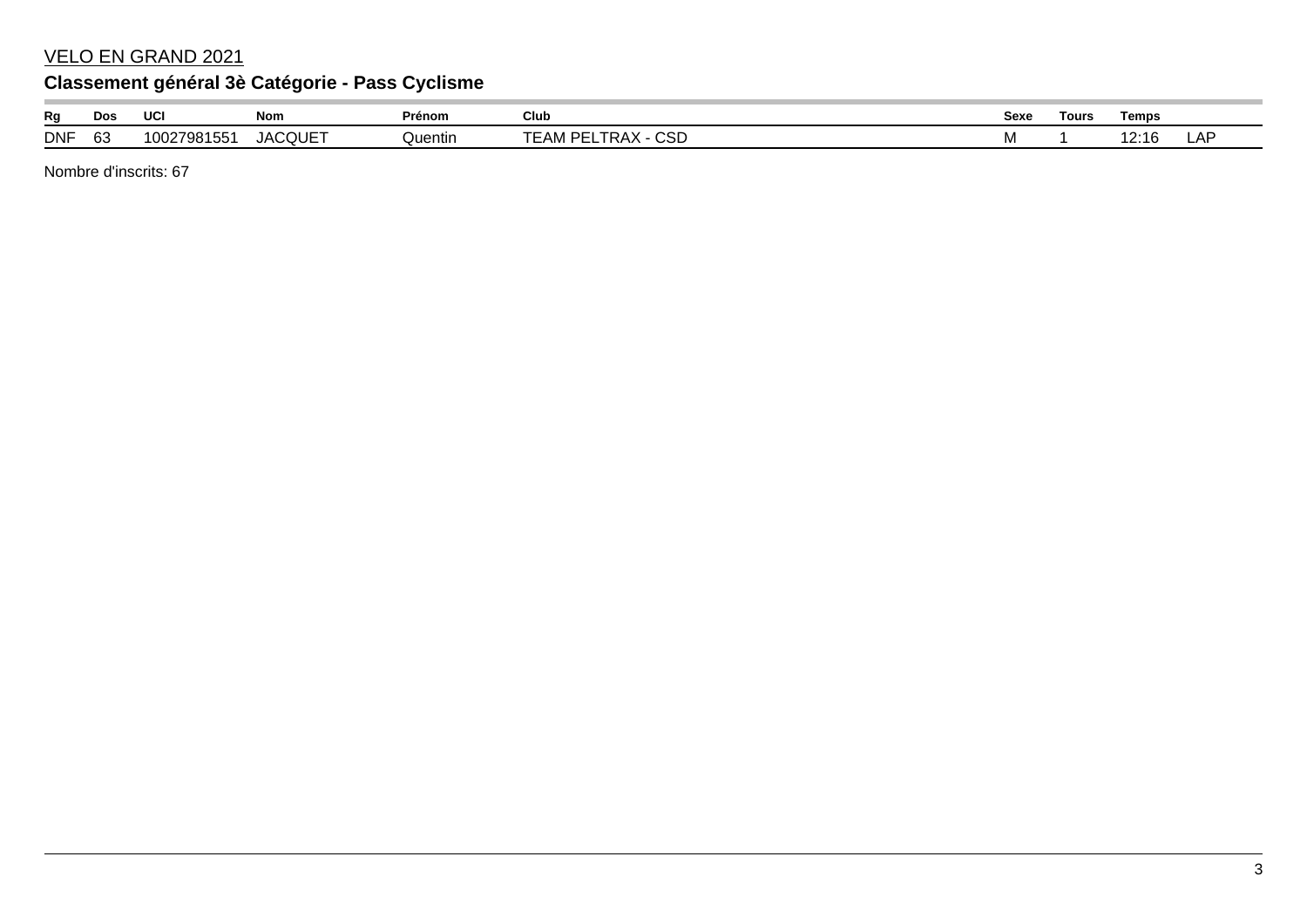#### VELO EN GRAND 2021

## **Classement général 3è Catégorie - Pass Cyclisme**

| Rg         | Dos     | <b>UC</b>                     | Nom            | Prénom  | Club                                             | Sexe | Tours | Temps |         |
|------------|---------|-------------------------------|----------------|---------|--------------------------------------------------|------|-------|-------|---------|
| <b>DNF</b> | r<br>O. | J <sub>4</sub> 7981F<br>  OO: | <b>JACQUET</b> | Quentin | $\sim$ $\sim$ $\sim$<br>ĸд<br>--<br>∸AMIr∶<br>◡◡ | IVI  |       |       | ΛL<br>ட |

Nombre d'inscrits: 67